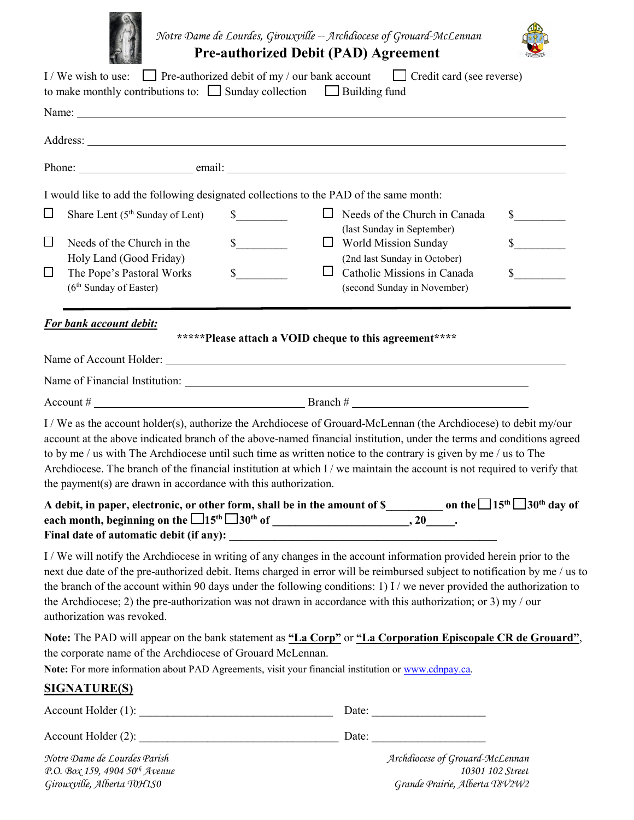

 *Notre Dame de Lourdes, Girouxville -- Archdiocese of Grouard-McLennan*



**Pre-authorized Debit (PAD) Agreement** 

|   | I/We wish to use: $\Box$ Pre-authorized debit of my / our bank account $\Box$ Credit card (see reverse)<br>to make monthly contributions to: $\Box$ Sunday collection $\Box$ Building fund                                                                                                                                                                                                                                                                                                                                                                  |                                                         |        |                                                     |                             |
|---|-------------------------------------------------------------------------------------------------------------------------------------------------------------------------------------------------------------------------------------------------------------------------------------------------------------------------------------------------------------------------------------------------------------------------------------------------------------------------------------------------------------------------------------------------------------|---------------------------------------------------------|--------|-----------------------------------------------------|-----------------------------|
|   |                                                                                                                                                                                                                                                                                                                                                                                                                                                                                                                                                             |                                                         |        |                                                     |                             |
|   |                                                                                                                                                                                                                                                                                                                                                                                                                                                                                                                                                             |                                                         |        |                                                     |                             |
|   |                                                                                                                                                                                                                                                                                                                                                                                                                                                                                                                                                             |                                                         |        |                                                     |                             |
|   | I would like to add the following designated collections to the PAD of the same month:                                                                                                                                                                                                                                                                                                                                                                                                                                                                      |                                                         |        |                                                     |                             |
| ⊔ | Share Lent (5 <sup>th</sup> Sunday of Lent)                                                                                                                                                                                                                                                                                                                                                                                                                                                                                                                 | $\int$                                                  | $\Box$ | Needs of the Church in Canada                       | $\mathbb{S}$                |
| ⊔ | Needs of the Church in the                                                                                                                                                                                                                                                                                                                                                                                                                                                                                                                                  | $\sim$                                                  |        | (last Sunday in September)<br>World Mission Sunday  | $\frac{\text{S}}{\text{S}}$ |
|   | Holy Land (Good Friday)                                                                                                                                                                                                                                                                                                                                                                                                                                                                                                                                     |                                                         |        | (2nd last Sunday in October)                        |                             |
| ⊔ | The Pope's Pastoral Works                                                                                                                                                                                                                                                                                                                                                                                                                                                                                                                                   | $s$ <sub>___</sub>                                      | ப      | Catholic Missions in Canada                         | $\mathbb{S}$                |
|   | (6 <sup>th</sup> Sunday of Easter)                                                                                                                                                                                                                                                                                                                                                                                                                                                                                                                          |                                                         |        | (second Sunday in November)                         |                             |
|   | For bank account debit:                                                                                                                                                                                                                                                                                                                                                                                                                                                                                                                                     |                                                         |        |                                                     |                             |
|   |                                                                                                                                                                                                                                                                                                                                                                                                                                                                                                                                                             | ******Please attach a VOID cheque to this agreement**** |        |                                                     |                             |
|   |                                                                                                                                                                                                                                                                                                                                                                                                                                                                                                                                                             |                                                         |        |                                                     |                             |
|   |                                                                                                                                                                                                                                                                                                                                                                                                                                                                                                                                                             |                                                         |        |                                                     |                             |
|   |                                                                                                                                                                                                                                                                                                                                                                                                                                                                                                                                                             |                                                         |        |                                                     |                             |
|   | I / We as the account holder(s), authorize the Archdiocese of Grouard-McLennan (the Archdiocese) to debit my/our<br>account at the above indicated branch of the above-named financial institution, under the terms and conditions agreed<br>to by me / us with The Archdiocese until such time as written notice to the contrary is given by me / us to The<br>Archdiocese. The branch of the financial institution at which I / we maintain the account is not required to verify that<br>the payment(s) are drawn in accordance with this authorization. |                                                         |        |                                                     |                             |
|   | A debit, in paper, electronic, or other form, shall be in the amount of \$____________ on the $\Box$ 15 <sup>th</sup> $\Box$ 30 <sup>th</sup> day of                                                                                                                                                                                                                                                                                                                                                                                                        |                                                         |        |                                                     |                             |
|   | I/We will notify the Archdiocese in writing of any changes in the account information provided herein prior to the<br>next due date of the pre-authorized debit. Items charged in error will be reimbursed subject to notification by me / us to<br>the branch of the account within 90 days under the following conditions: 1) I / we never provided the authorization to<br>the Archdiocese; 2) the pre-authorization was not drawn in accordance with this authorization; or 3) my / our<br>authorization was revoked.                                   |                                                         |        |                                                     |                             |
|   | Note: The PAD will appear on the bank statement as "La Corp" or "La Corporation Episcopale CR de Grouard",<br>the corporate name of the Archdiocese of Grouard McLennan.<br>Note: For more information about PAD Agreements, visit your financial institution or www.cdnpay.ca.                                                                                                                                                                                                                                                                             |                                                         |        |                                                     |                             |
|   | <b>SIGNATURE(S)</b>                                                                                                                                                                                                                                                                                                                                                                                                                                                                                                                                         |                                                         |        |                                                     |                             |
|   | AccountلHolder(1):                                                                                                                                                                                                                                                                                                                                                                                                                                                                                                                                          |                                                         |        | Date: $\qquad \qquad$                               |                             |
|   |                                                                                                                                                                                                                                                                                                                                                                                                                                                                                                                                                             |                                                         |        |                                                     |                             |
|   | Notre Dame de Lourdes Parish<br>P.O. Box 159, 4904 50th Avenue                                                                                                                                                                                                                                                                                                                                                                                                                                                                                              |                                                         |        | Archdiocese of Grouard-McLennan<br>10301 102 Street |                             |

*Girouxville, Alberta T0H1S0 Grande Prairie, Alberta T8V2W2*